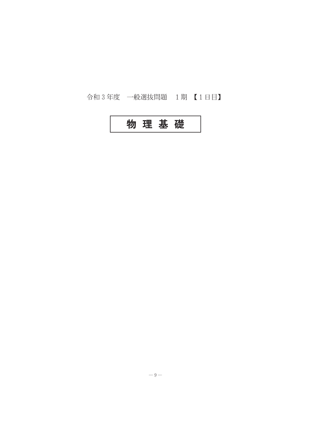## 令和3年度 一般選抜問題 1期【1日目】

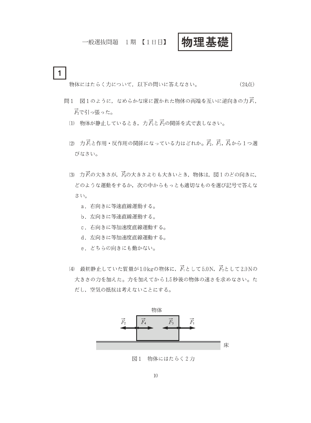一般選抜問題 1期 【1日目】

## 物理基礎

 $\mathbf{1}$ 物体にはたらく力について、以下の問いに答えなさい。 (24点)

- 問1 図1のように、なめらかな床に置かれた物体の両端を互いに逆向きの力 $\vec{F}_1$ ,  $\vec{F}_2$ で引っ張った。
	- (1) 物体が静止しているとき、力戸と戸の関係を式で表しなさい。
	- (2) 力*下*と作用·反作用の関係になっている力はどれか。 $\vec{F}_2$ ,  $\vec{F}_3$ ,  $\vec{F}_4$ から1つ選 びなさい。
	- (3) カアの大きさが、アの大きさよりも大きいとき、物体は、図1のどの向きに, どのような運動をするか、次の中からもっとも適切なものを選び記号で答えな さい。
		- a. 右向きに等速直線運動する。
		- b. 左向きに等速直線運動する。
		- c. 右向きに等加速度直線運動する。
		- d. 左向きに等加速度直線運動する。
		- e. どちらの向きにも動かない。
	- (4) 最初静止していた質量が1.0kgの物体に、 $\vec{F}$ として5.0N、 $\vec{F}$ として2.0Nの 大きさの力を加えた。力を加えてから1.5秒後の物体の速さを求めなさい。た だし、空気の抵抗は考えないことにする。



図 1 物体にはたらく2力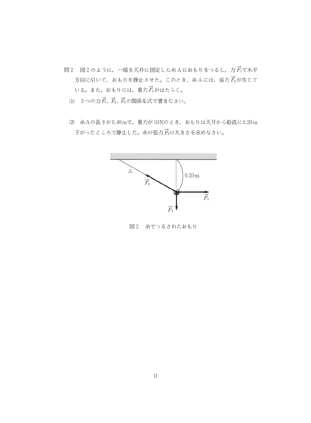- 問2 図2のように、一端を天井に固定した糸Aにおもりをつるし、力 Ac水平 方向に引いて、おもりを静止させた。このとき、糸Aには、張力dが生じて いる。また, おもりには, 重力  $\vec{F}_3$ がはたらく。
	- (1) 3つの力  $\vec{F}_1$ ,  $\vec{F}_2$ ,  $\vec{F}_3$ の関係を式で書きなさい。
	- (2) 糸Aの長さが0.40mで、重力が10Nのとき、おもりは天井から鉛直に0.20m 下がったところで静止した。糸の張力房の大きさを求めなさい。



図2 糸でつるされたおもり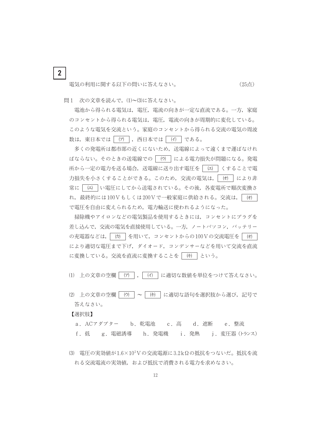電気の利用に関する以下の問いに答えなさい。

(25点)

問1 次の文章を読んで、(1)~(3)に答えなさい。

 $\overline{2}$ 

電池から得られる電気は、電圧、電流の向きが一定な直流である。一方、家庭 のコンセントから得られる電気は、電圧、電流の向きが周期的に変化している。 このような電気を交流という。家庭のコンセントから得られる交流の電気の周波 数は、東日本では [ (ア ) , 西日本では | (イ) | である。

多くの発電所は都市部の近くにないため、送電線によって遠くまで運ばなけれ ばならない。そのときの送電線での | (ウ) | による電力損失が問題になる。発電 所から一定の電力を送る場合、送電線に送り出す電圧を | ロ くすることで電 力損失を小さくすることができる。このため、交流の電気は、| (オ) により非 常に|【エ】 | い電圧にしてから送電されている。その後, 各変電所で順次変換さ れ, 最終的には100Vもしくは200Vで一般家庭に供給される。交流は, | (オ) | で電圧を自由に変えられるため、電力輸送に使われるようになった。

**掃除機やアイロンなどの電気製品を使用するときには、コンセントにプラグを** 差し込んで、交流の電気を直接使用している。一方、ノートパソコン、バッテリー の充電器などは, | (カ | を用いて, コンセントからの100Vの交流電圧を | (オ) により適切な電圧まで下げ、ダイオード、コンデンサーなどを用いて交流を直流 に変換している。交流を直流に変換することを | (キ) | という。

(1) 上の文章の空欄 | (ア) |, | (イ) | に適切な数値を単位をつけて答えなさい。

(2) 上の文章の空欄|(ウ |~|(#)|に適切な語句を選択肢から選び、記号で 答えなさい。

【選択肢】

a. ACアダプター b. 乾電池 c. 高 d. 遮断 e. 整流 f. 低 g. 電磁誘導 h. 発電機 i. 発熱 j. 変圧器 (トランス)

(3) 電圧の実効値が1.6×10<sup>2</sup>Vの交流電源に3.2kΩの抵抗をつないだ。抵抗を流 れる交流電流の実効値、および抵抗で消費される電力を求めなさい。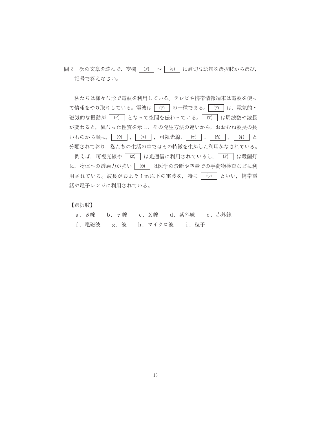問2 次の文章を読んで、空欄 | (ア) | ~ | (キ) | に適切な語句を選択肢から選び, 記号で答えなさい。

私たちは様々な形で電波を利用している。テレビや携帯情報端末は電波を使っ て情報をやり取りしている。電波は「(ア) の一種である。「(ア) は、電気的· 磁気的な振動が (イ) となって空間を伝わっている。 (ア) は周波数や波長 が変わると、異なった性質を示し、その発生方法の違いから、おおむね波長の長 いものから順に, (ウ), (エ), 可視光線, (オ), (カ), (キ)と 分類されており、私たちの生活の中ではその特徴を生かした利用がなされている。 |例えば,可視光線や│ ⑷ │は光通信に利用されているし,│ け │は殺菌灯 に、物体への透過力が強い 「(カ) は医学の診断や空港での手荷物検査などに利 用されている。波長がおよそ1m以下の電波を、特に 「(ウ) といい、携帯電 話や電子レンジに利用されている。

## 【選択肢】

|  | - a .β線 → b .γ線 → c . X線 → d . 紫外線 → e . 赤外線 |  |  |  |
|--|----------------------------------------------|--|--|--|
|  | f. 電磁波 g. 波 h. マイクロ波 i. 粒子                   |  |  |  |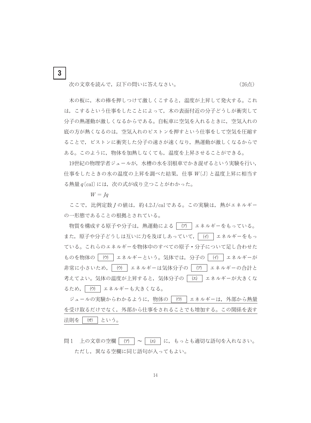次の文章を読んで、以下の問いに答えなさい。

(26点)

木の板に、木の棒を押しつけて激しくこすると、温度が上昇して発火する。これ は、こするという仕事をしたことによって、木の表面付近の分子どうしが衝突して 分子の熱運動が激しくなるからである。自転車に空気を入れるときに、空気入れの 底の方が熱くなるのは、空気入れのピストンを押すという仕事をして空気を圧縮す ることで、ピストンに衝突した分子の速さが速くなり、熱運動が激しくなるからで ある。このように、物体を加熱しなくても、温度を上昇させることができる。

19世紀の物理学者ジュールが、水槽の水を羽根車でかき混ぜるという実験を行い、 什事をしたときの水の温度の上昇を調べた結果,什事 W〔J〕と温度上昇に相当す る熱量  $q$  [cal] には、次の式が成り立つことがわかった。

 $W = Iq$ 

 $3\phantom{a}$ 

ここで、比例定数Jの値は、約4.2J/calである。この実験は、熱がエネルギー の一形態であることの根拠とされている。

物質を構成する原子や分子は、熱運動による | (ア) | エネルギーをもっている。 また、原子や分子どうしは互いに力を及ぼしあっていて、| (イ) | エネルギーをもっ ている。これらのエネルギーを物体中のすべての原子·分子について足し合わせた ものを物体の | (ウ) | エネルギーという。気体では、分子の | (イ) | エネルギーが 非常に小さいため、| (ウ) | エネルギーは気体分子の | (ア) | エネルギーの合計と 考えてよい。気体の温度が上昇すると、気体分子の | (エ) | エネルギーが大きくな るため, | (ウ) | エネルギーも大きくなる。

ジュールの実験からわかるように、物体の | (ウ) | エネルギーは、外部から熱量 を受け取るだけでなく、外部から仕事をされることでも増加する。この関係を表す 法則を | (オ) | という。

問1 上の文章の空欄 | (ア | ~ | (エ) | に、もっとも適切な語句を入れなさい。 ただし、異なる空欄に同じ語句が入ってもよい。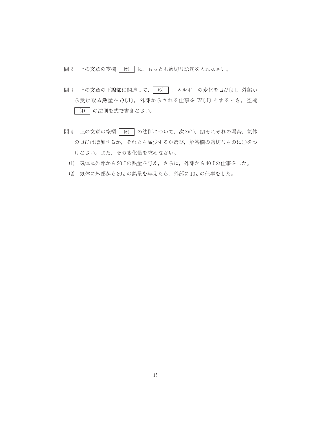問2 上の文章の空欄 (オ) に、もっとも適切な語句を入れなさい。

- 問3 上の文章の下線部に関連して、
(ウ) エネルギーの変化を  $\Delta U(\mathrm{J})$ , 外部か ら受け取る熱量を Q(J), 外部からされる仕事を W(J) とするとき, 空欄 (オ) の法則を式で書きなさい。
- 問4 上の文章の空欄 (オ) の法則について、次の(1), (2)それぞれの場合、気体 の⊿Uは増加するか、それとも減少するか選び、解答欄の適切なものに○をつ けなさい。また、その変化量を求めなさい。
	- (1) 気体に外部から20Jの熱量を与え、さらに、外部から40Jの仕事をした。
	- (2) 気体に外部から30Jの熱量を与えたら、外部に10Jの仕事をした。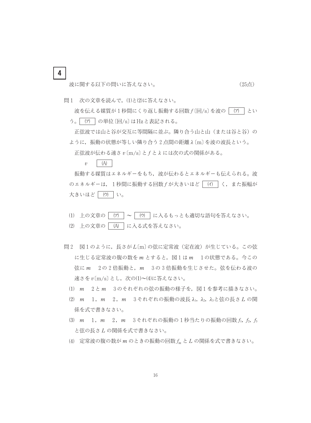波に関する以下の問いに答えなさい。

 $\overline{4}$ 

(25点)

問1 次の文章を読んで、(1)と(2)に答えなさい。

波を伝える媒質が1秒間にくり返し振動する回数  $f$ [回/s] を波の | (ア) とい う。| (ア) | の単位 〔回/s〕はHzと表記される。

正弦波では山と谷が交互に等間隔に並ぶ。隣り合う山と山(または谷と谷)の ように、振動の状態が等しい隣り合う2点間の距離λ[m]を波の波長という。 正弦波が伝わる速さ  $v$  [m/s] と f と λ には次の式の関係がある。

 $(A)$  $\upsilon$ 

振動する媒質はエネルギーをもち、波が伝わるとエネルギーも伝えられる。波 のエネルギーは、1秒間に振動する回数fが大きいほど (イ) く、また振幅が 大きいほど「(ウ)」い。

- (1) 上の文章の | (ア) | ~ | (ウ) | に入るもっとも適切な語句を答えなさい。
- (2) 上の文章の | (A) | に入る式を答えなさい。
- 問2 図1のように、長さがL(m)の弦に定常波(定在波)が生じている。この弦 に生じる定常波の腹の数をmとすると、図1はm 1の状態である。今この 弦に m 2の2倍振動と、m 3の3倍振動を生じさせた。弦を伝わる波の 速さを v(m/s) とし、次の(1)~(4)に答えなさい。
	- (1) m 2とm 3のそれぞれの弦の振動の様子を、図1を参考に描きなさい。
	- (2) m 1, m 2, m 3それぞれの振動の波長 λ1, λ2, λ3と弦の長さ Lの関 係を式で書きなさい。
	- (3) m 1, m 2, m 3それぞれの振動の1秒当たりの振動の回数 f, f, f, と弦の長さLの関係を式で書きなさい。
	- (4) 定常波の腹の数がmのときの振動の回数  $f_m$  と L の関係を式で書きなさい。